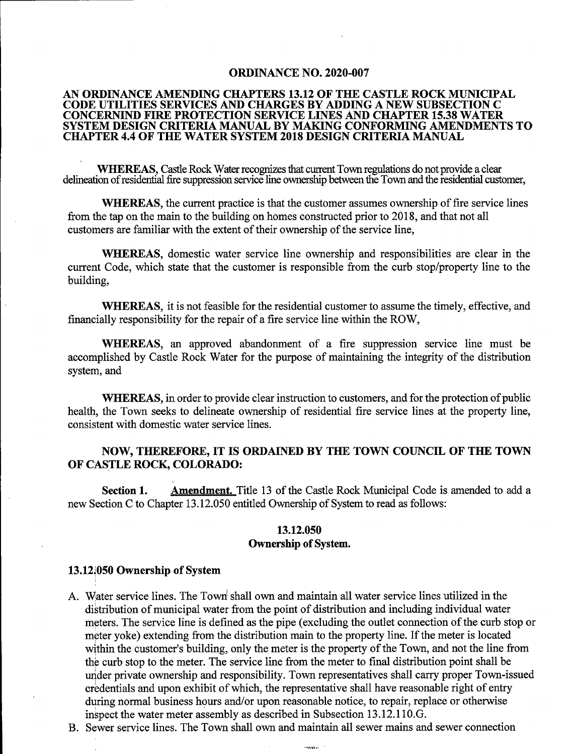#### ORDINANCE NO. 2020-007

### AN ORDINANCE AMENDING CHAPTERS 13.12 OF THE CASTLE ROCK MUNICIPAL CODE UTILITIES SERVICES AND CHARGES BY ADDING A NEW SUBSECTION C CONCERNIND FIRE PROTECTION SERVICE LINES AND CHAPTER 15.38 WATER SYSTEM DESIGN CRITERIA MANUAL BY MAKING CONFORMING AMENDMENTS TO CHAPTER 4.4 OF THE WATER SYSTEM 2018 DESIGN CRITERIA MANUAL

WHEREAS, Castle Rock Water recognizes that current Town regulations do not provide a clear delineation of residential fire suppression service line ownership between the Town and the residential customer,

WHEREAS, the current practice is that the customer assumes ownership of fire service lines from the tap on the main to the building on homes constructed prior to 2018, and that not all customers are familiar with the extent of their ownership of the service line,

WHEREAS, domestic water service line ownership and responsibilities are clear in the current Code, which state that the customer is responsible from the curb stop/property line to the building,

WHEREAS, it is not feasible for the residential customer to assume the timely, effective, and financially responsibility for the repair of a fire service line within the ROW,

WHEREAS, an approved abandonment of a fire suppression service line must be accomplished by Castle Rock Water for the purpose of maintaining the integrity of the distribution system, and

WHEREAS, in order to provide clear instruction to customers, and for the protection of public health, the Town seeks to delineate ownership of residential fire service lines at the property line, consistent with domestic water service lines.

## NOW, THEREFORE, IT IS ORDAINED BY THE TOWN COUNCIL OF THE TOWN OF CASTLE ROCK, COLORADO:

**Section 1.** Amendment. Title 13 of the Castle Rock Municipal Code is amended to add a new Section C to Chapter 13.12.050 entitled Ownership of System to read as follows:

## 13.12.050 Ownership of System.

## 13.121050 Ownership of System

- A. Water service lines. The Town' shall own and maintain all water service lines utilized in the distribution of municipal water from the point of distribution and including individual water meters. The service line is defined as the pipe (excluding the outlet connection of the curb stop or meter yoke) extending from the distribution main to the property line. If the meter is located within the customer's building, only the meter is the property of the Town, and not the line from the curb stop to the meter. The service line from the meter to final distribution point shall be under private ownership and responsibility. Town representatives shall carry proper Town-issued credentials and upon exhibit of which, the representative shall have reasonable right of entry during normal business hours and/or upon reasonable notice, to repair, replace or otherwise inspect the water meter assembly as described in Subsection 13.12.110.G.
- B. Sewer service lines. The Town shall own and maintain all sewer mains and sewer connection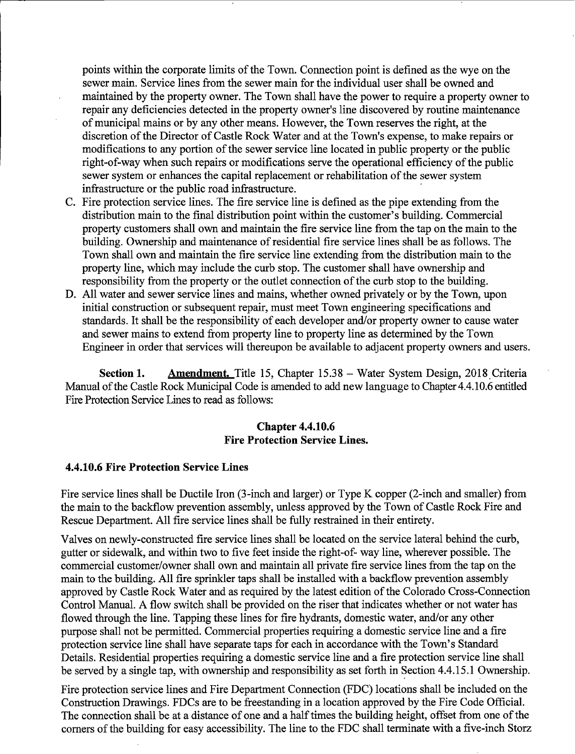points within the corporate limits of the Town. Connection point is defined as the wye on the sewer main. Service lines from the sewer main for the individual user shall be owned and maintained by the property ovmer. The Town shall have the power to require a property owner to repair any deficiencies detected in the property owner's line discovered by routine maintenance of municipal mains or by any other means. However, the Town reserves the right, at the discretion of the Director of Castle Rock Water and at the Town's expense, to make repairs or modifications to any portion of the sewer service line located in public property or the public right-of-way when such repairs or modifications serve the operational efficiency of the public sewer system or enhances the capital replacement or rehabilitation of the sewer system infrastructure or the public road infrastructure.

- C. Fire protection service lines. The fire service line is defined as the pipe extending from the distribution main to the final distribution point within the customer's building. Commercial property customers shall own and maintain the fire service line from the tap on the main to the building. Ownership and maintenance of residential fire service lines shall be as follows. The Town shall own and maintain the fire service line extending from the distribution main to the property line, which may include the curb stop. The customer shall have ownership and responsibility from the property or the outlet connection of the curb stop to the building.
- D. All water and sewer service lines and mains, whether owned privately or by the Town, upon initial construction or subsequent repair, must meet Town engineering specifications and standards. It shall be the responsibility of each developer and/or property owner to cause water and sewer mains to extend from property line to property line as determined by the Town Engineer in order that services will thereupon be available to adjacent property owners and users.

Section 1. Amendment. Title 15, Chapter 15.38 – Water System Design, 2018 Criteria Manual of the Castle Rock Municipal Code is amended to add new language to Chapter 4.4.10.6 entitled Fire Protection Service Lines to read as follows:

## Chapter 4.4.10.6 Fire Protection Service Lines.

## 4.4.10.6 Fire Protection Service Lines

Fire service lines shall be Ductile Iron (3-inch and larger) or Type K copper (2-inch and smaller) from the main to the backflow prevention assembly, unless approved by the Town of Castle Rock Fire and Rescue Department. All fire service lines shall be fully restrained in their entirety.

Valves on newly-constructed fire service lines shall be located on the service lateral behind the curb, gutter or sidewalk, and within two to five feet inside the right-of- way line, wherever possible. The commercial customer/owner shall own and maintain all private fire service lines from the tap on the main to the building. All fire sprinkler taps shall be installed with a backflow prevention assembly approved by Castle Rock Water and as required by the latest edition of the Colorado Cross-Connection Control Manual. A flow switch shall be provided on the riser that indicates whether or not water has flowed through the line. Tapping these lines for fire hydrants, domestic water, and/or any other purpose shall not be permitted. Commercial properties requiring a domestic service line and a fire protection service line shall have separate taps for each in accordance with the Town's Standard Details. Residential properties requiring a domestic service line and a fire protection service line shall be served by a single tap, with ownership and responsibility as set forth in Section 4.4.15.1 Ownership.

Fire protection service lines and Fire Department Connection (FDC) locations shall be included on the Construction Drawings. FDCs are to be freestanding in a location approved by the Fire Code Official. The connection shall be at a distance of one and a half times the building height, offset from one of the corners of the building for easy accessibility. The line to the FDC shall terminate with a five-inch Storz